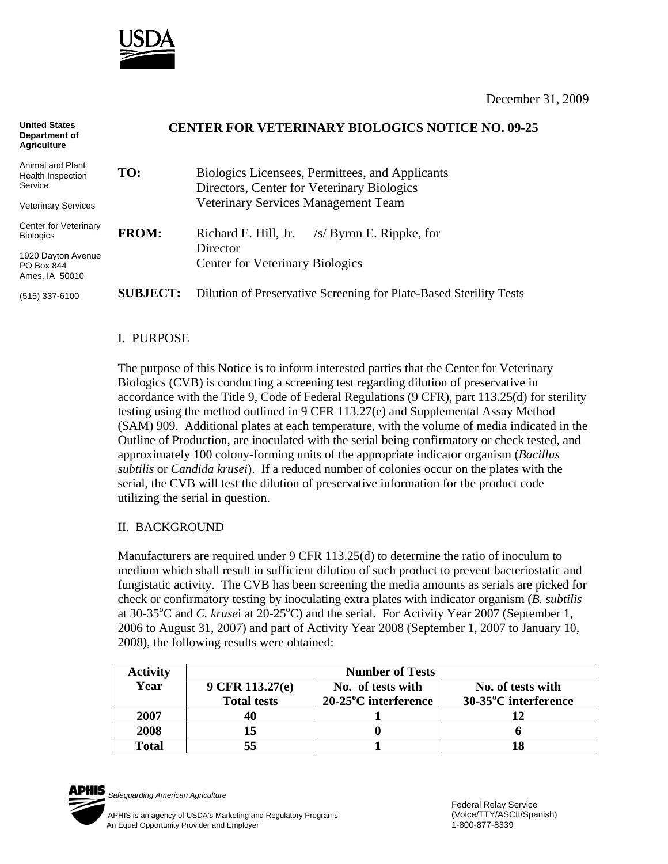

December 31, 2009

| <b>United States</b><br>Department of<br><b>Agriculture</b> | <b>CENTER FOR VETERINARY BIOLOGICS NOTICE NO. 09-25</b> |                                                                                               |  |
|-------------------------------------------------------------|---------------------------------------------------------|-----------------------------------------------------------------------------------------------|--|
| Animal and Plant<br><b>Health Inspection</b><br>Service     | TO:                                                     | Biologics Licensees, Permittees, and Applicants<br>Directors, Center for Veterinary Biologics |  |
| <b>Veterinary Services</b>                                  |                                                         | <b>Veterinary Services Management Team</b>                                                    |  |
| Center for Veterinary<br><b>Biologics</b>                   | <b>FROM:</b>                                            | Richard E. Hill, Jr.<br>$/s/$ Byron E. Rippke, for                                            |  |
| 1920 Dayton Avenue<br>PO Box 844<br>Ames, IA 50010          |                                                         | Director<br><b>Center for Veterinary Biologics</b>                                            |  |
| $(515)$ 337-6100                                            | <b>SUBJECT:</b>                                         | Dilution of Preservative Screening for Plate-Based Sterility Tests                            |  |

## I. PURPOSE

The purpose of this Notice is to inform interested parties that the Center for Veterinary Biologics (CVB) is conducting a screening test regarding dilution of preservative in accordance with the Title 9, Code of Federal Regulations (9 CFR), part 113.25(d) for sterility testing using the method outlined in 9 CFR 113.27(e) and Supplemental Assay Method (SAM) 909. Additional plates at each temperature, with the volume of media indicated in the Outline of Production, are inoculated with the serial being confirmatory or check tested, and approximately 100 colony-forming units of the appropriate indicator organism (*Bacillus subtilis* or *Candida krusei*). If a reduced number of colonies occur on the plates with the serial, the CVB will test the dilution of preservative information for the product code utilizing the serial in question.

## II. BACKGROUND

Manufacturers are required under 9 CFR 113.25(d) to determine the ratio of inoculum to medium which shall result in sufficient dilution of such product to prevent bacteriostatic and fungistatic activity. The CVB has been screening the media amounts as serials are picked for check or confirmatory testing by inoculating extra plates with indicator organism (*B. subtilis*  at 30-35<sup>o</sup>C and *C. krusei* at 20-25<sup>o</sup>C) and the serial. For Activity Year 2007 (September 1, 2006 to August 31, 2007) and part of Activity Year 2008 (September 1, 2007 to January 10, 2008), the following results were obtained:

| <b>Activity</b> | <b>Number of Tests</b> |                      |                      |  |  |
|-----------------|------------------------|----------------------|----------------------|--|--|
| Year            | 9 CFR 113.27(e)        | No. of tests with    | No. of tests with    |  |  |
|                 | <b>Total tests</b>     | 20-25°C interference | 30-35°C interference |  |  |
| 2007            |                        |                      |                      |  |  |
| 2008            |                        |                      |                      |  |  |
| Total           |                        |                      |                      |  |  |



*Safeguarding American Agriculture*